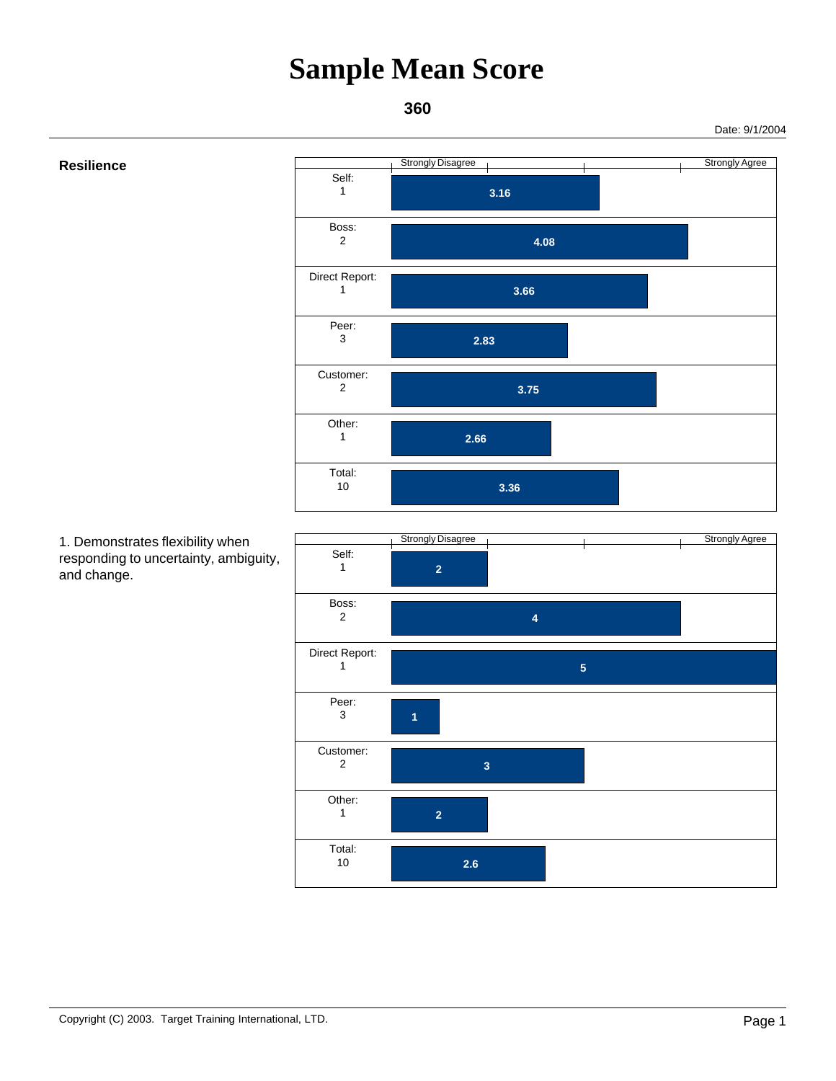### **360**

Date: 9/1/2004



 1. Demonstrates flexibility when responding to uncertainty, ambiguity, and change.

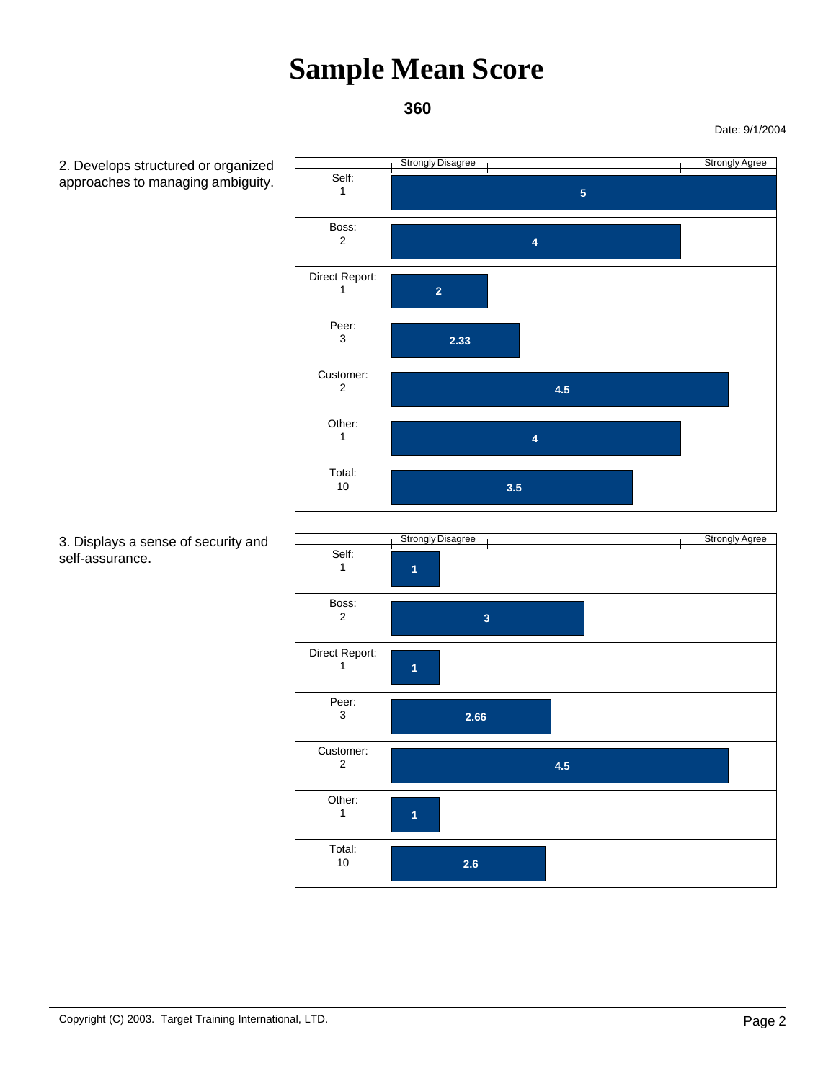**360** 

 2. Develops structured or organized approaches to managing ambiguity. Strongly Disagree Strongly Agree  **5**  Self: 1  **4**  Boss: 2  **2**  Direct Report: 1  **2.33**  Peer: 3  **4.5**  Customer: 2  **4**  Other: 1  **3.5**  Total: 10 Strongly Disagree Communication Communication Communication Communication Communication Communication Communication  **1**  Self: 1  **3**  Boss: 2  **1**  Direct Report: 1  **2.66**  Peer: 3  **4.5**  Customer: 2  **1**  Other: 1  **2.6**  Total: 10

 3. Displays a sense of security and self-assurance.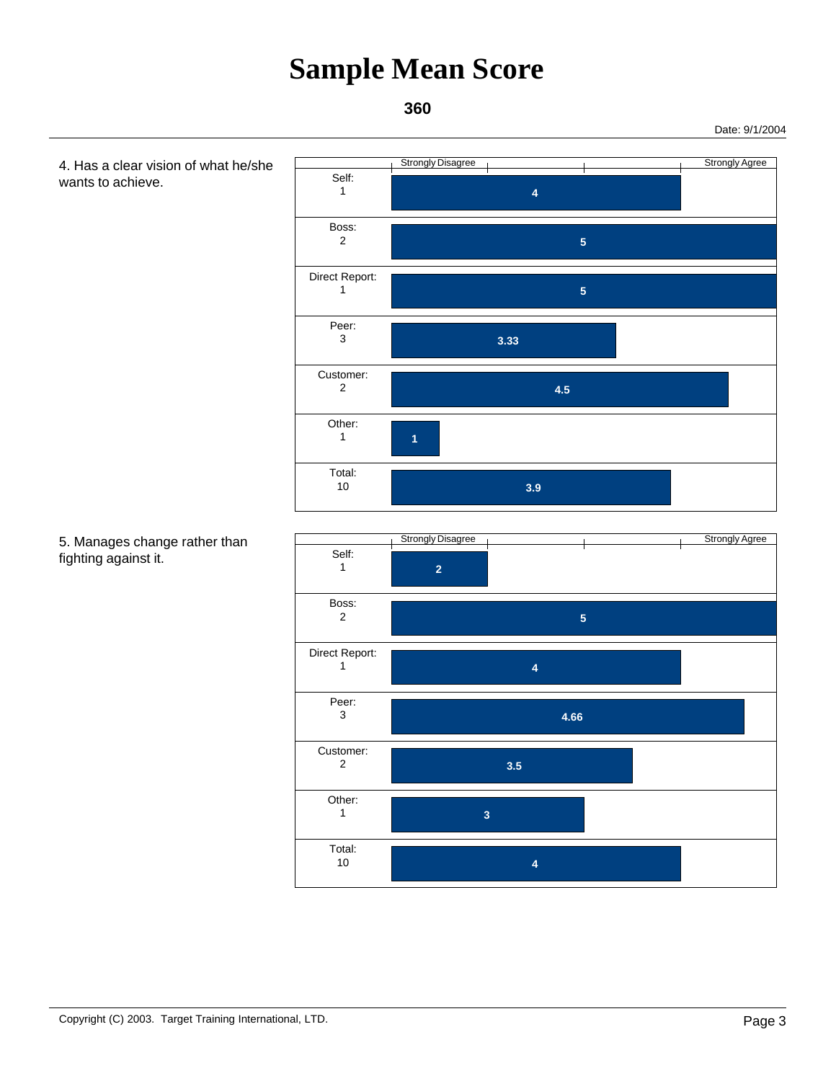**360** 

 4. Has a clear vision of what he/she wants to achieve. Strongly Disagree Contract Contract Contract Contract Contract Contract Contract Contract Contract Contract Contract Contract Contract Contract Contract Contract Contract Contract Contract Contract Contract Contract Contra  **4**  Self: 1  **5**  Boss: 2  **5**  Direct Report: 1  **3.33**  Peer: 3  **4.5**  Customer: 2  **1**  Other: 1  **3.9**  Total: 10 5. Manages change rather than fighting against it. Strongly Disagree Communication Communication Communication Communication Communication Communication Communication  **2**  Self: 1  **5**  Boss: 2  **4**  Direct Report: 1  **4.66**  Peer: 3  **3.5**  Customer: 2  **3**  Other: 1  **4**  Total: 10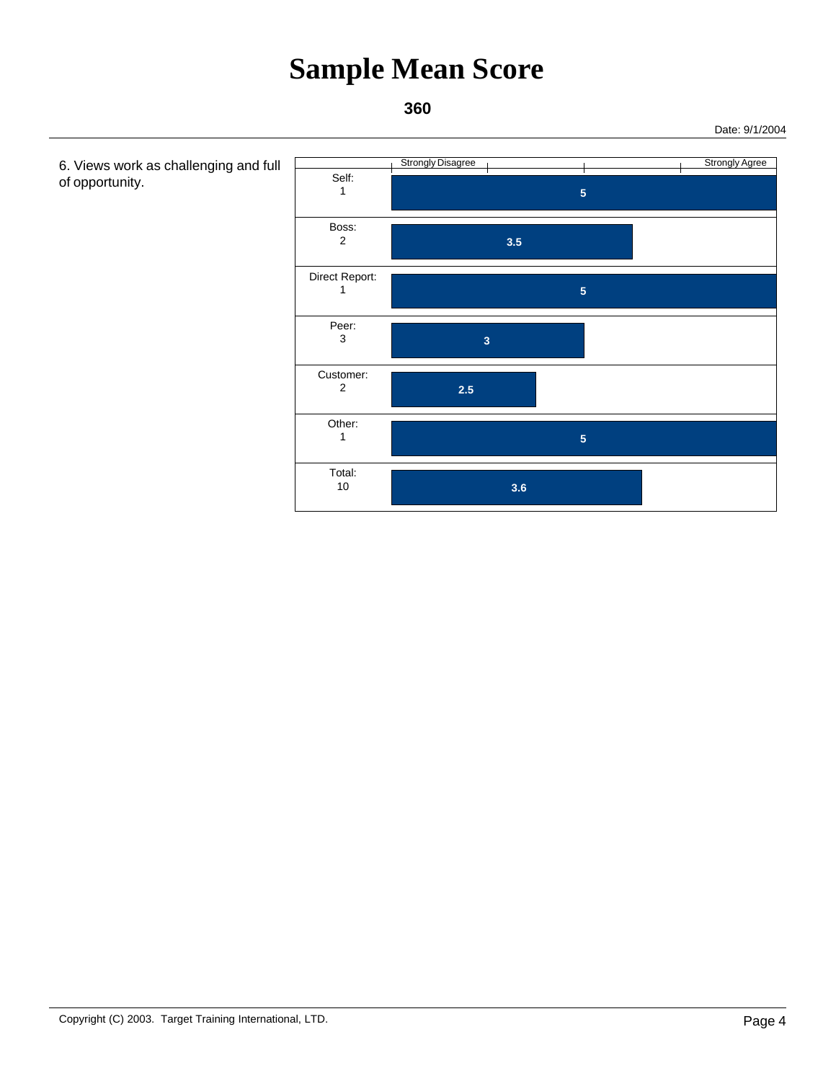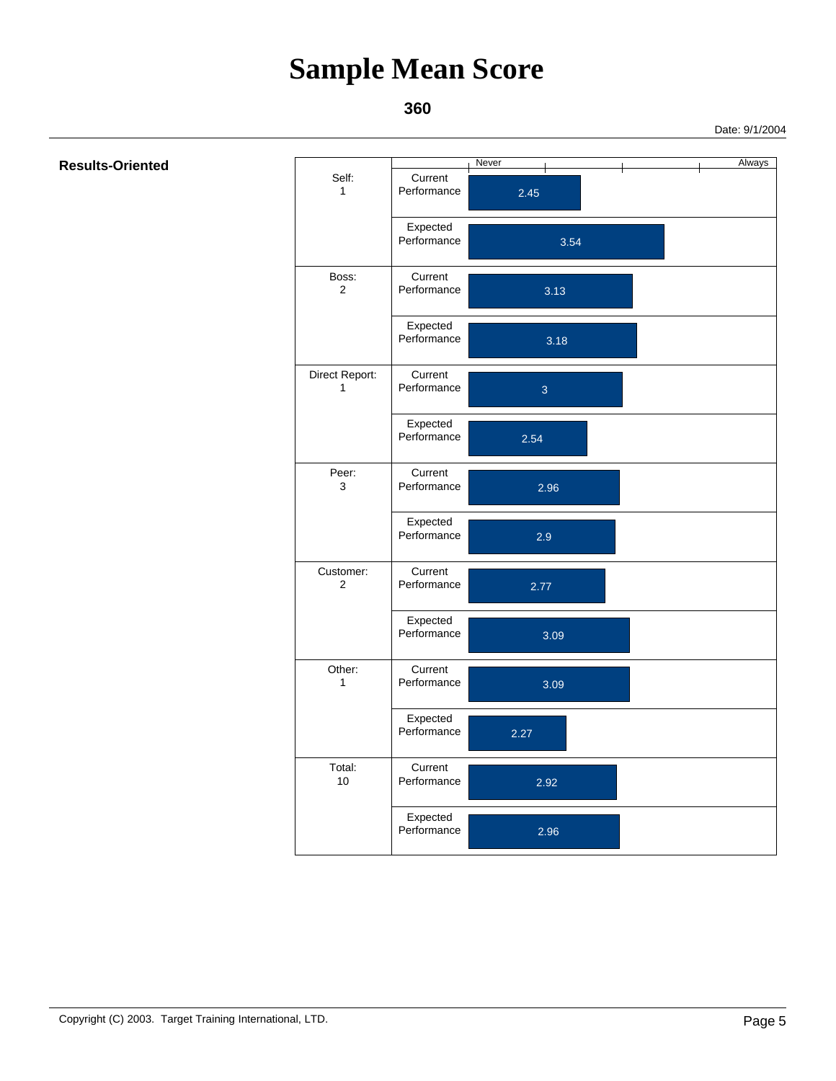#### **360**

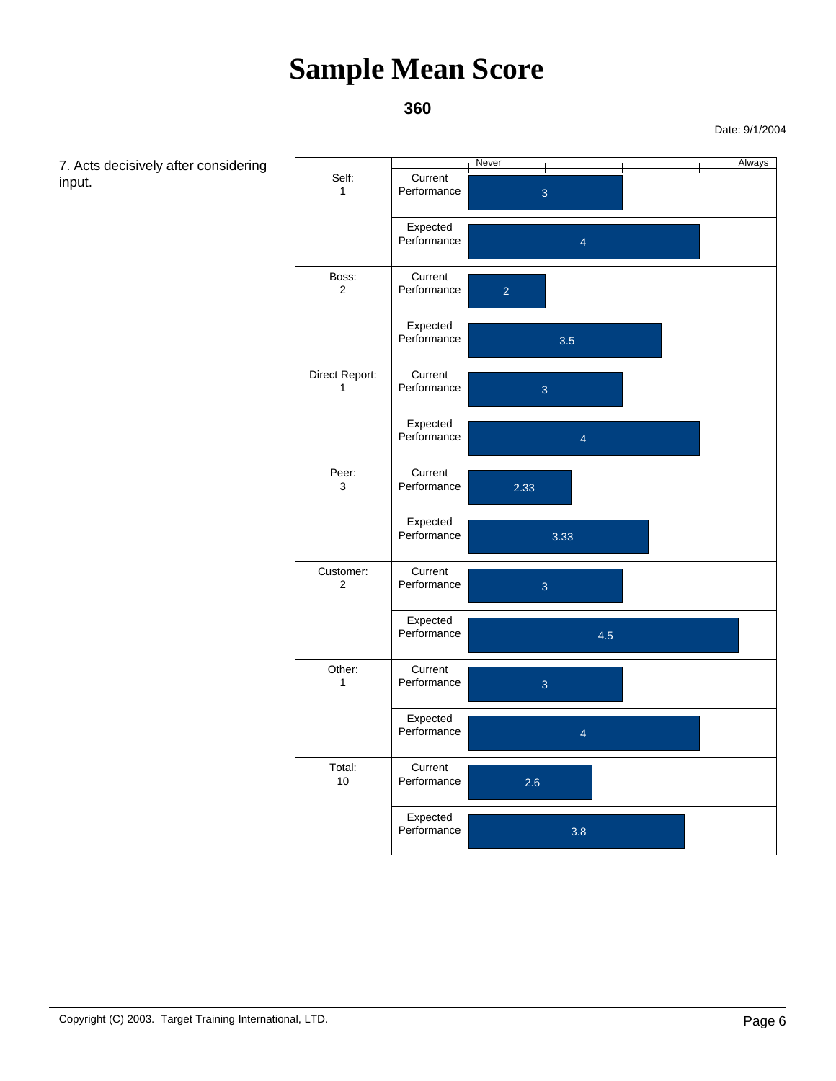### **360**

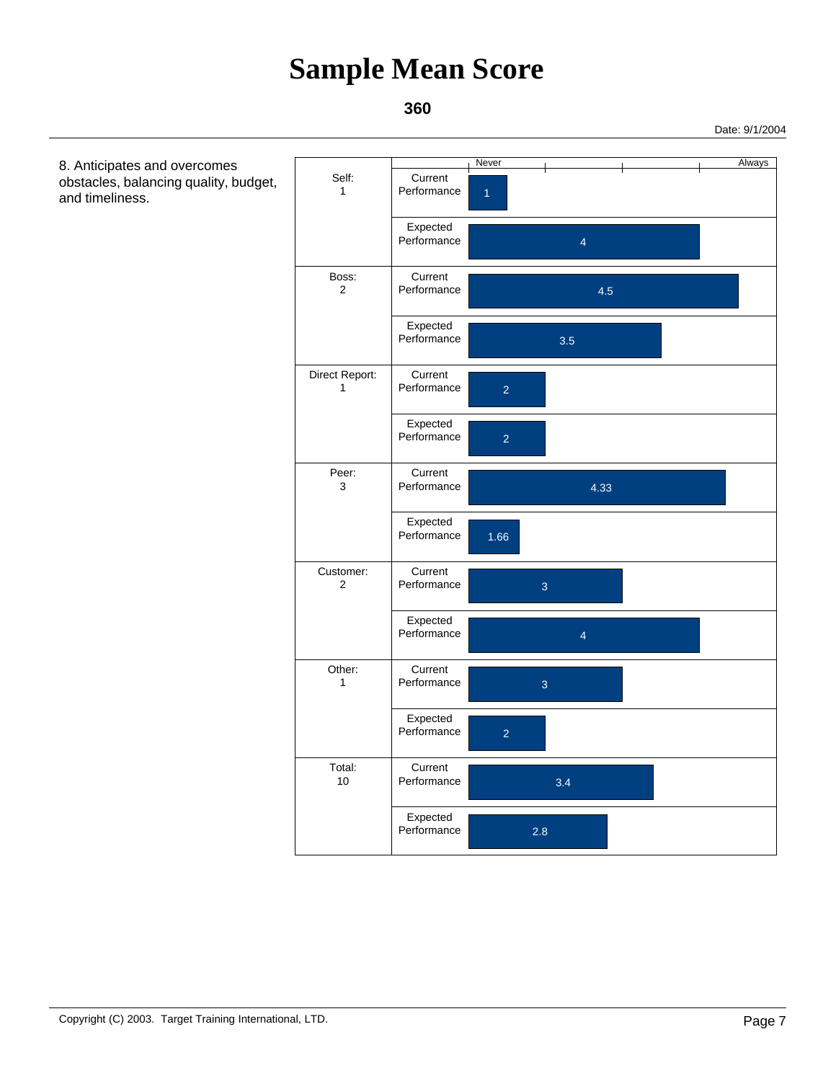#### **360**

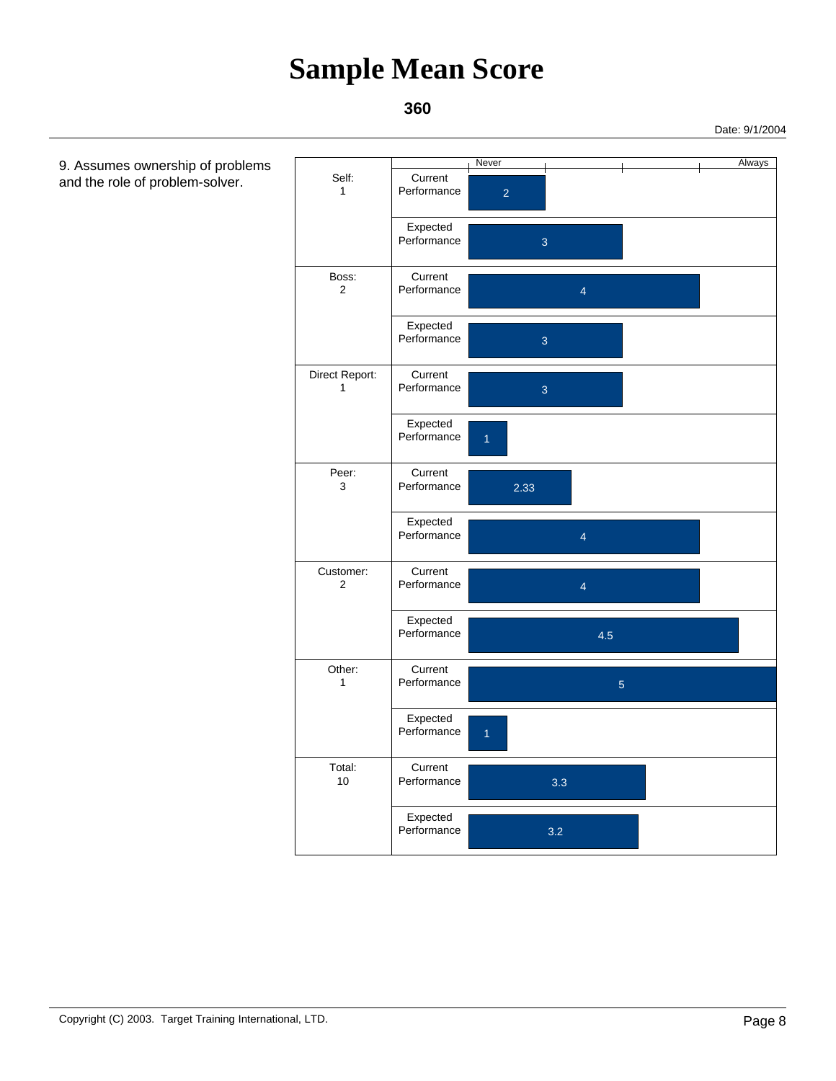### **360**

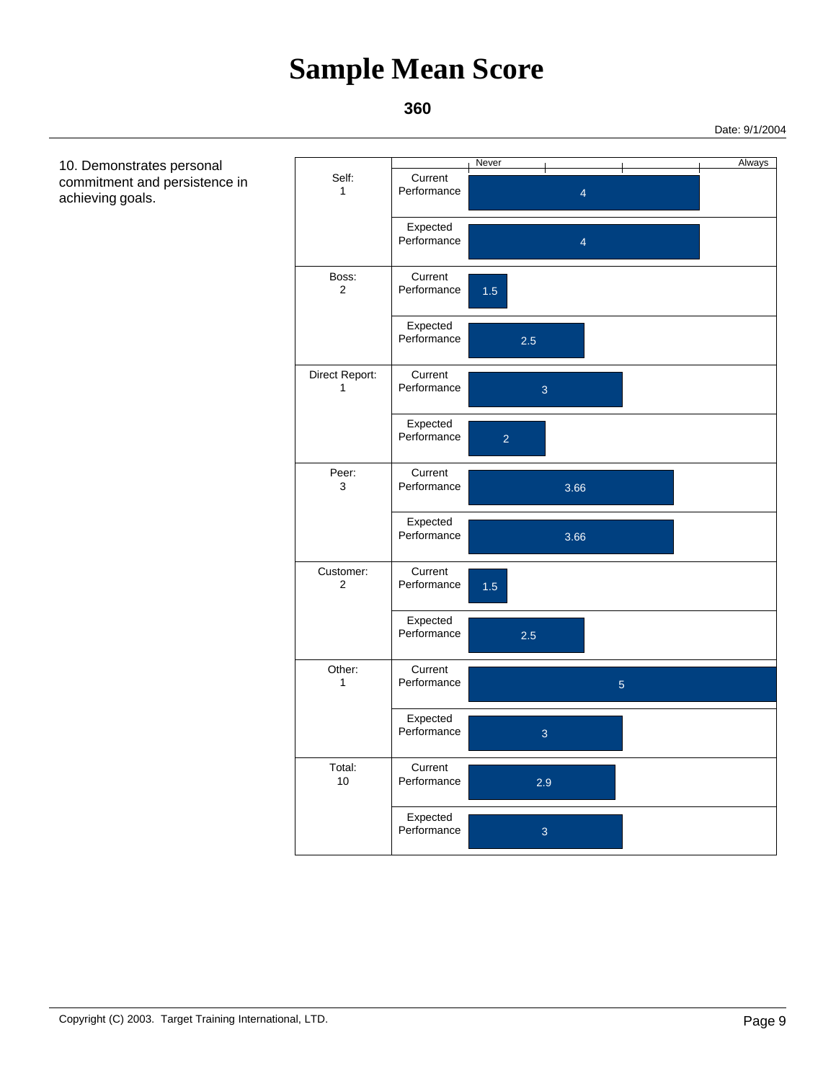#### **360**

Date: 9/1/2004

 10. Demonstrates personal Never and the set of the set of the Always Self: 1 Performance 4 Current 4 Expected **Performance**  Boss: 2 Performance 1.5 Current 2.5 Expected Performance Direct Report: 1 Performance 3 Current 2 Expected Performance Peer: 3 3.66 Performance Current 3.66 Expected Performance Customer: 2 Performance 1.5 Current 2.5 Expected Performance Other: 1 Performance 3 and 5 Current 3 Expected Performance Total: 10 Performance 2.9 Current 3 Expected **Performance**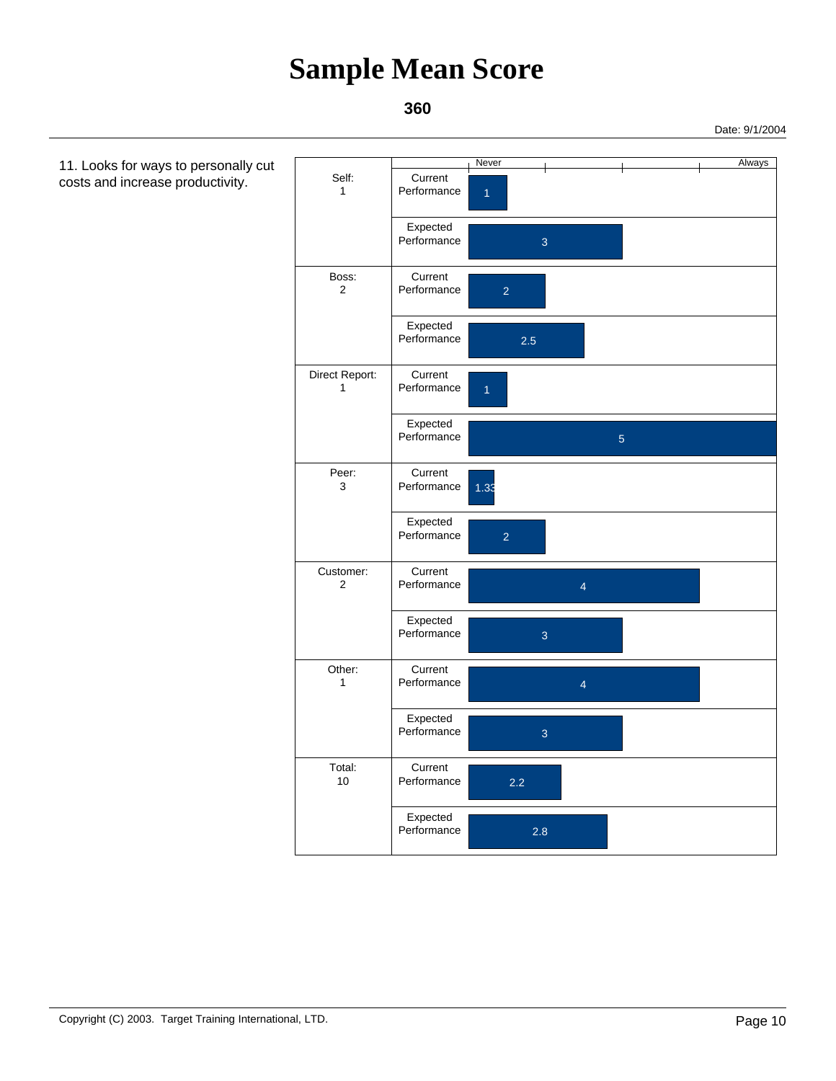### **360**

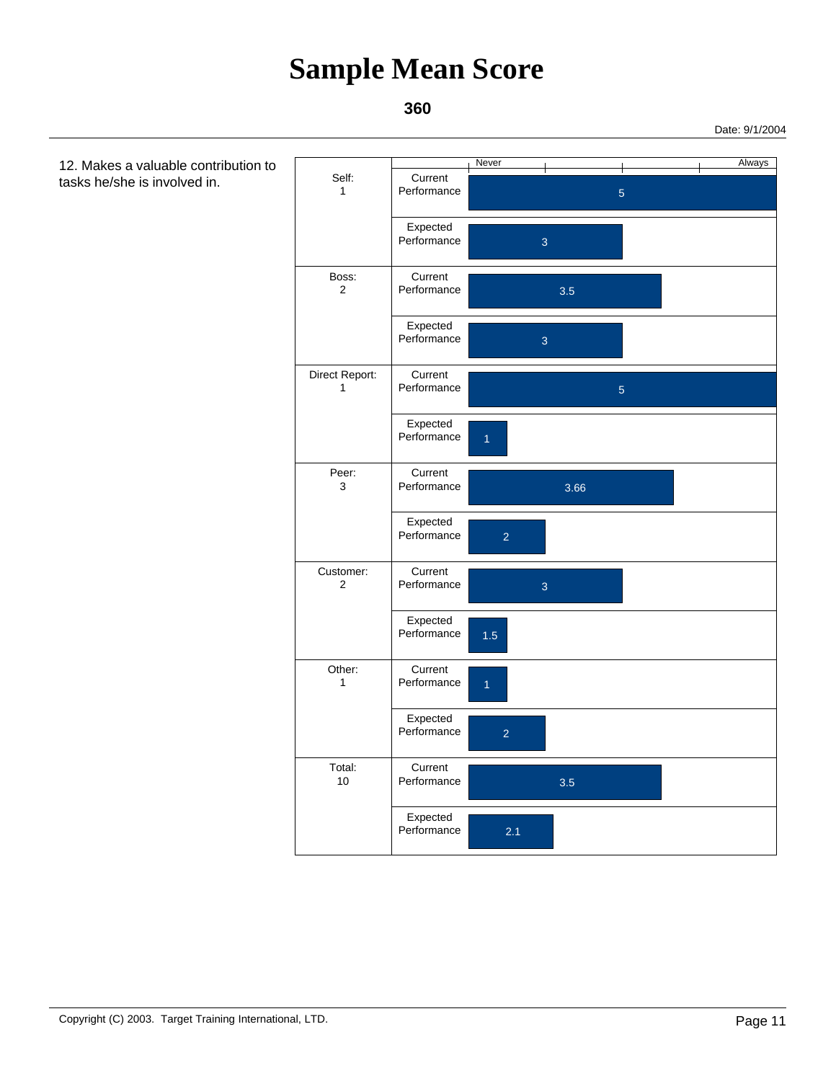#### **360**

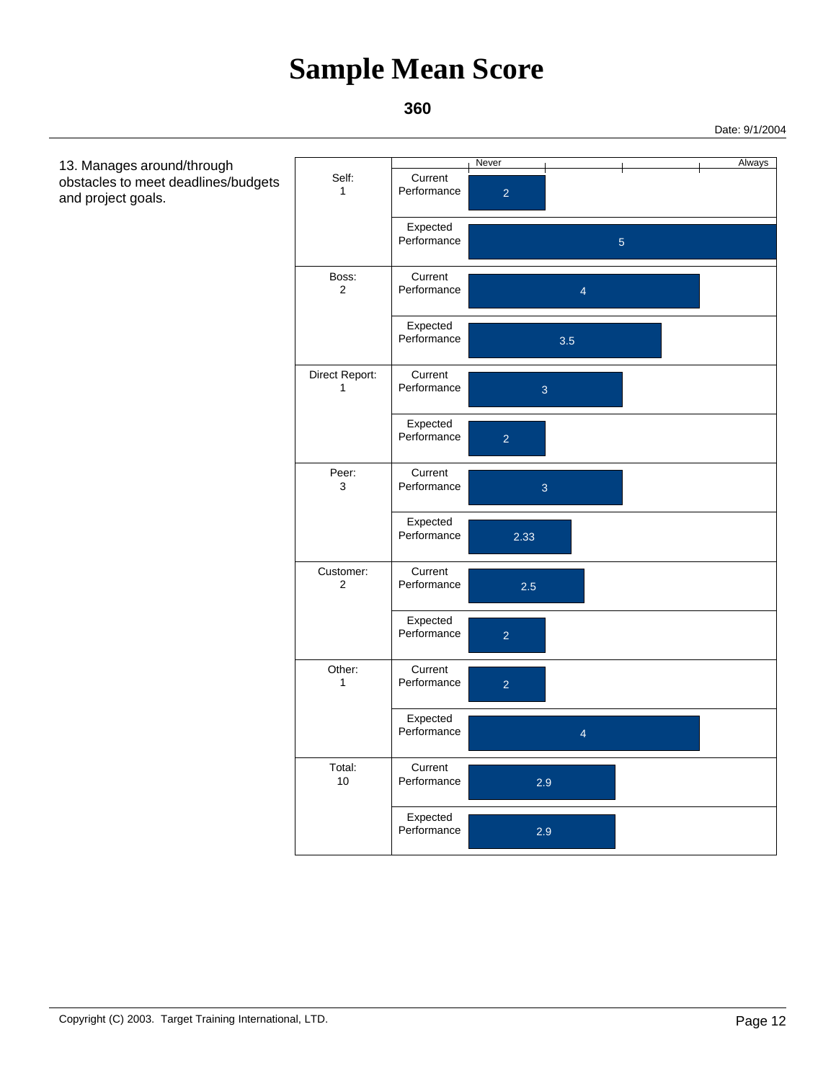#### **360**

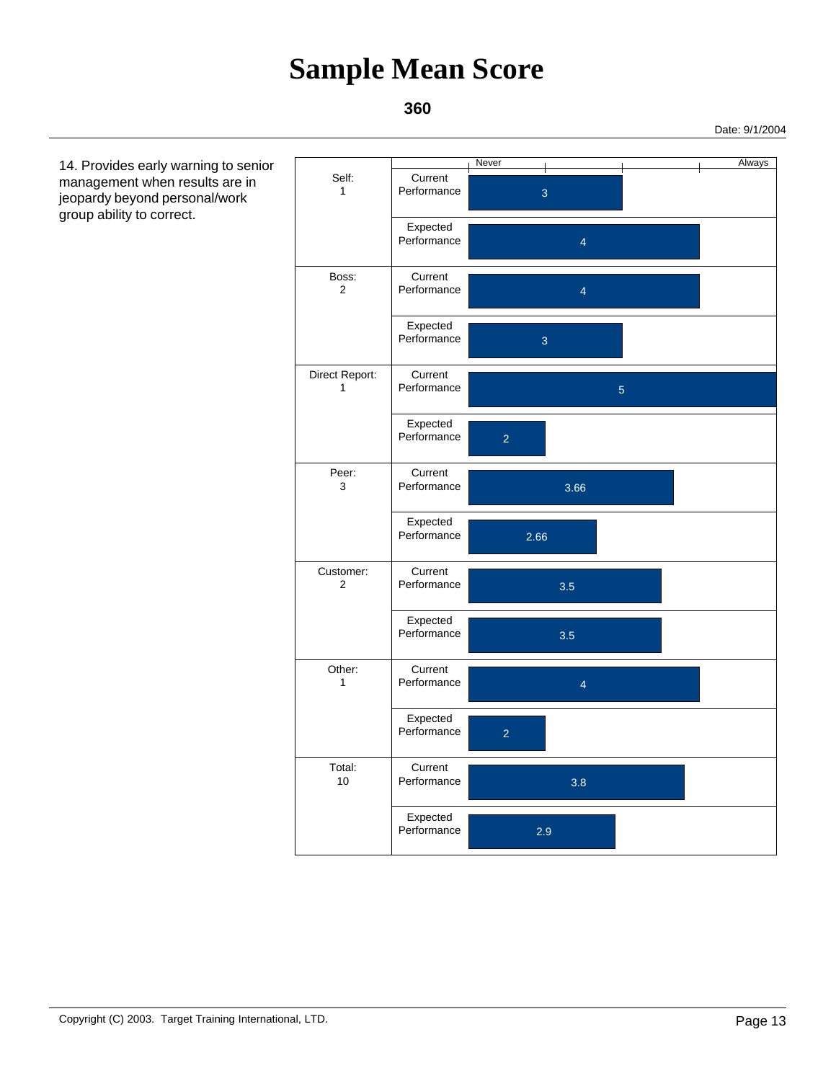### **360**

 14. Provides early warning to senior management when results are in jeopardy beyond personal/work group ability to correct.

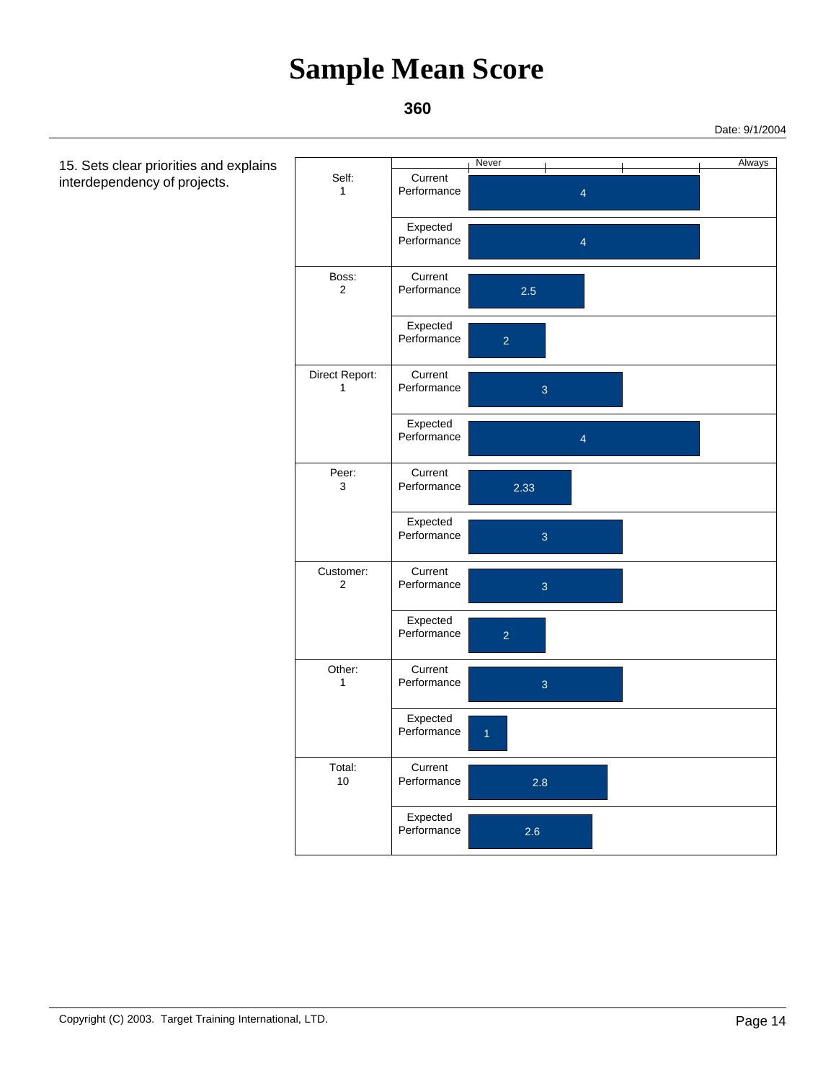

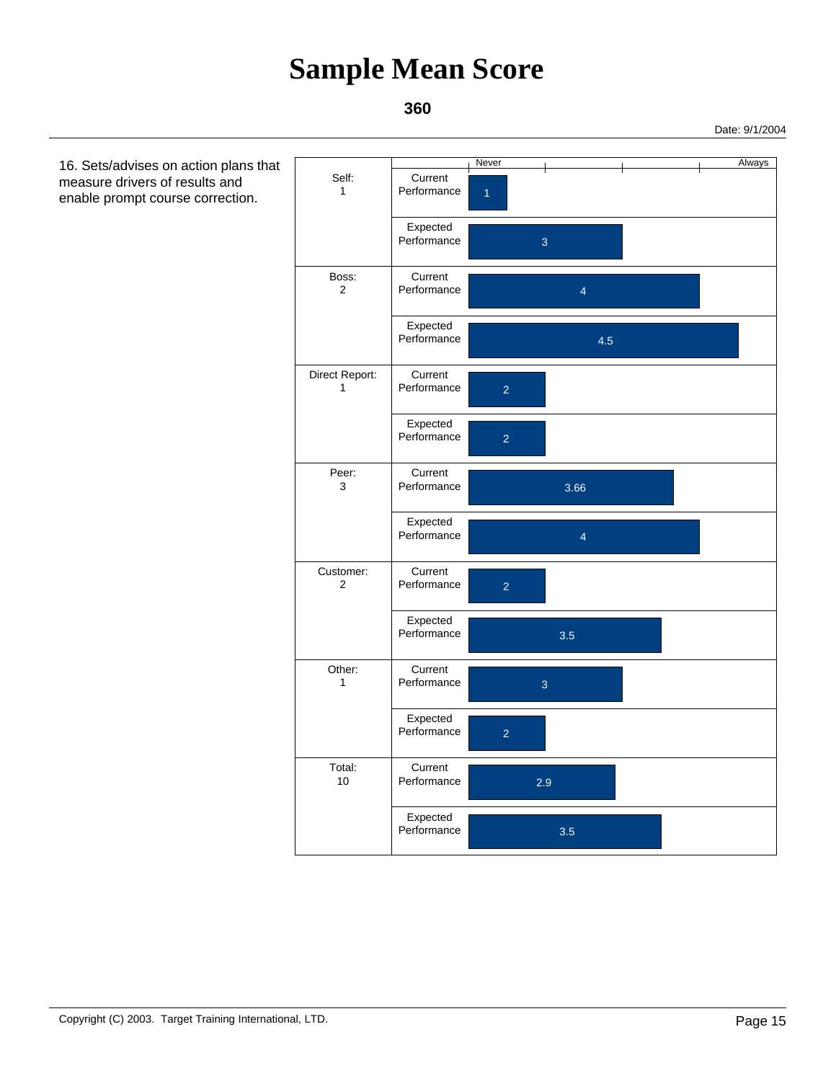### **360**

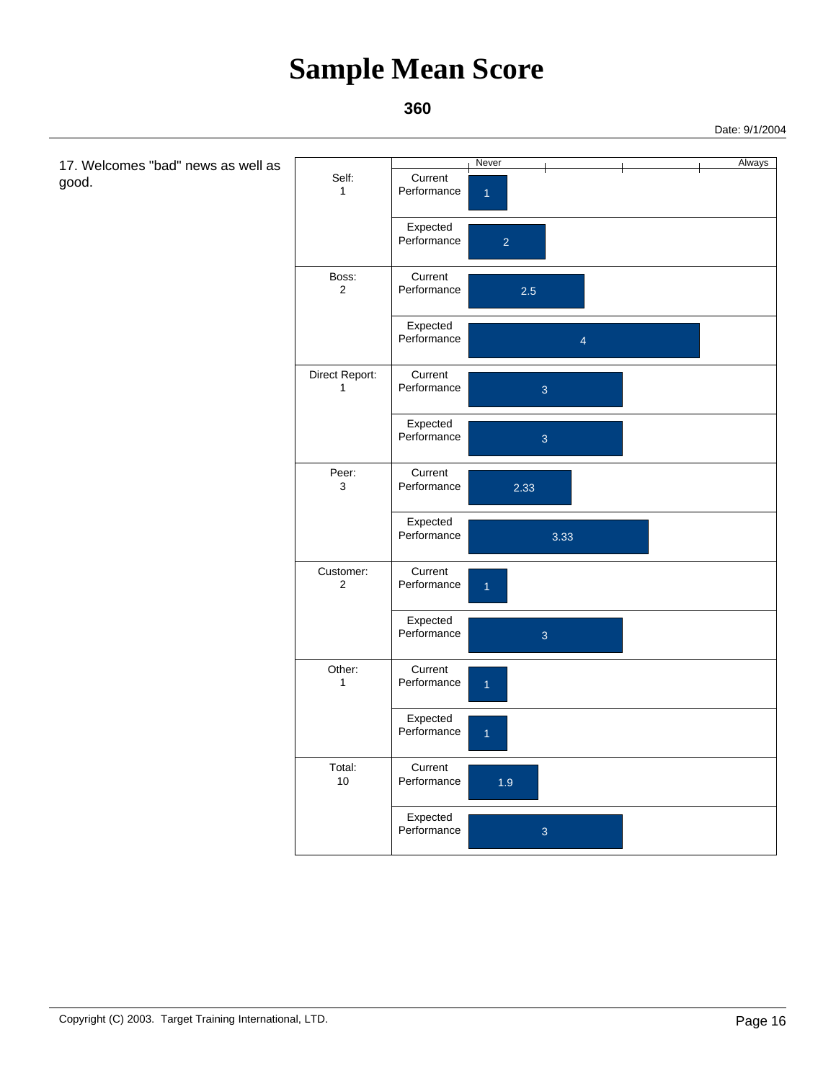#### **360**

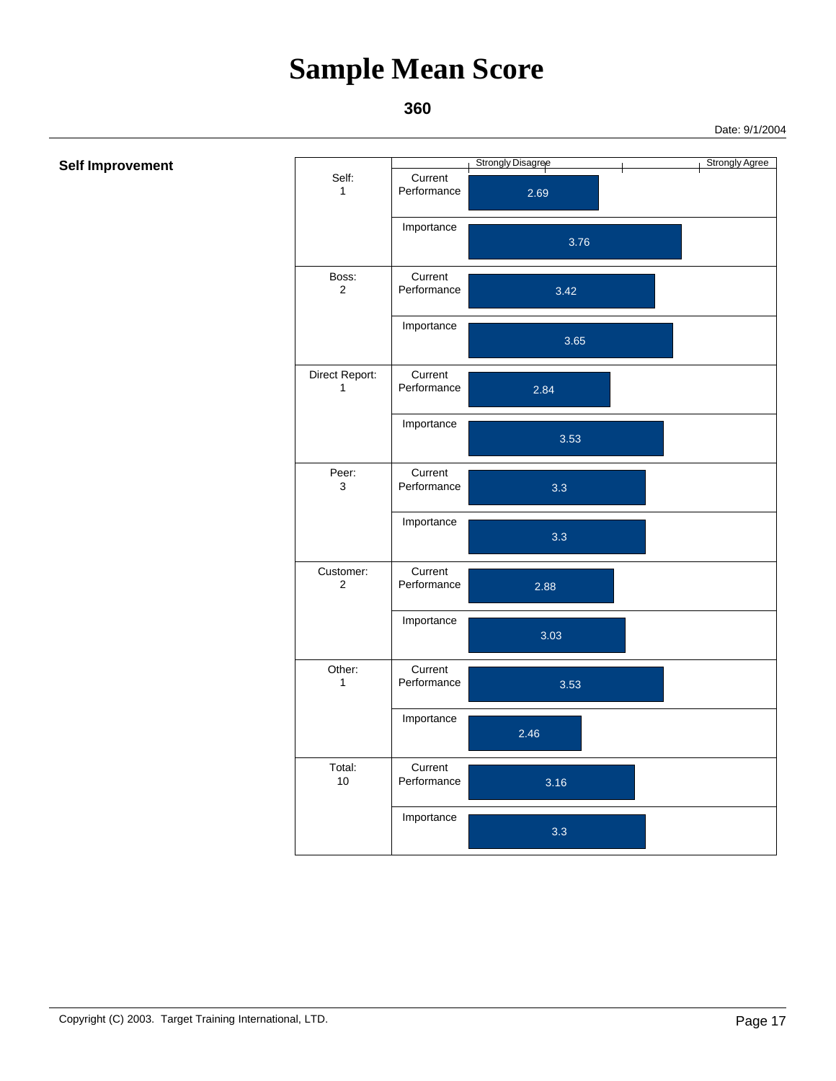### **360**

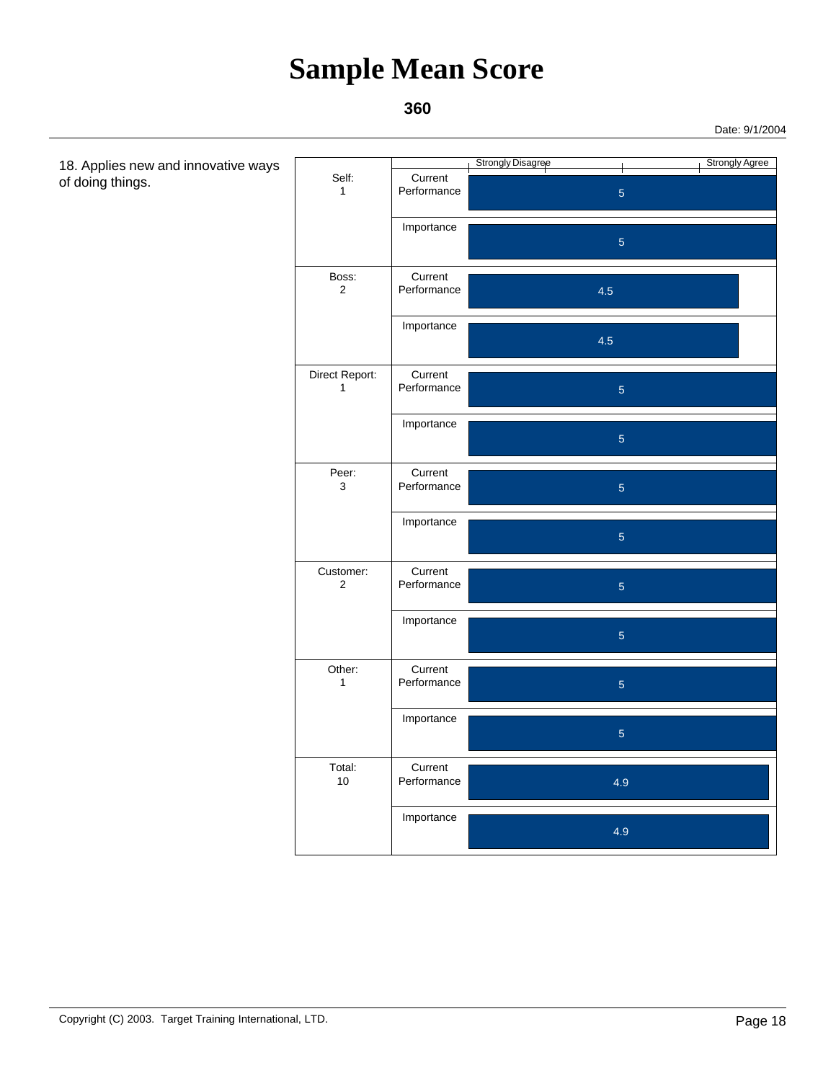### **360**

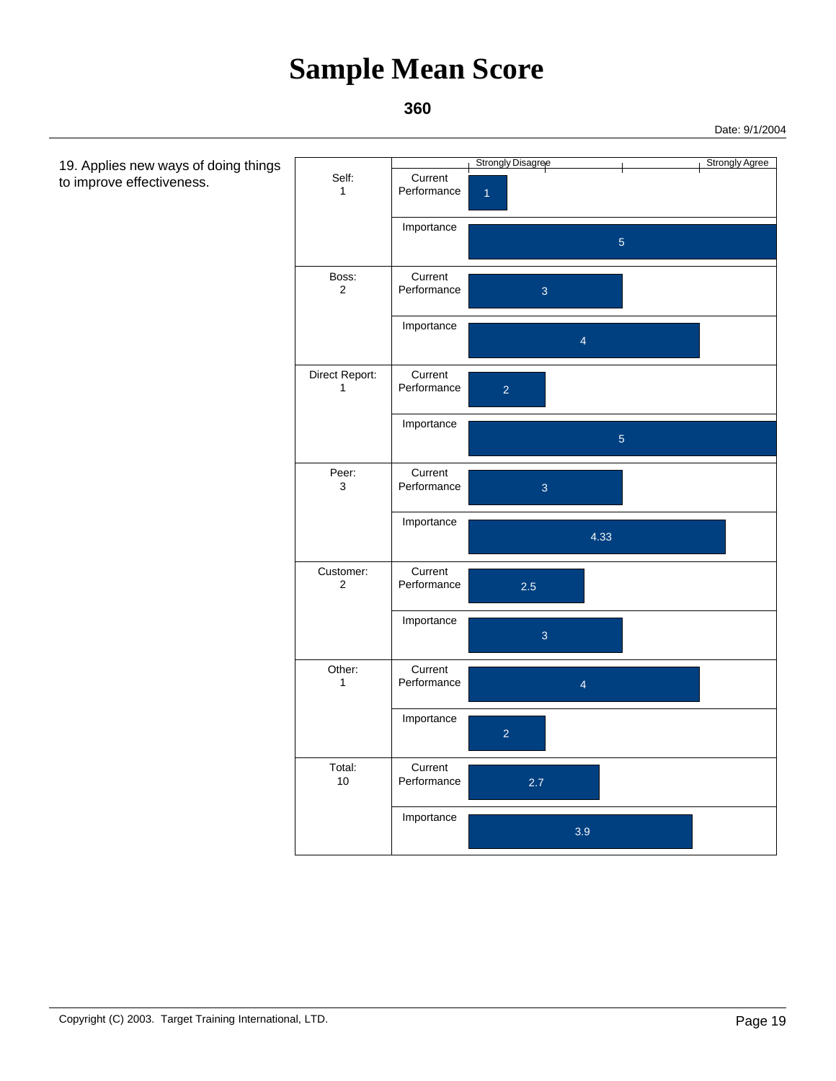

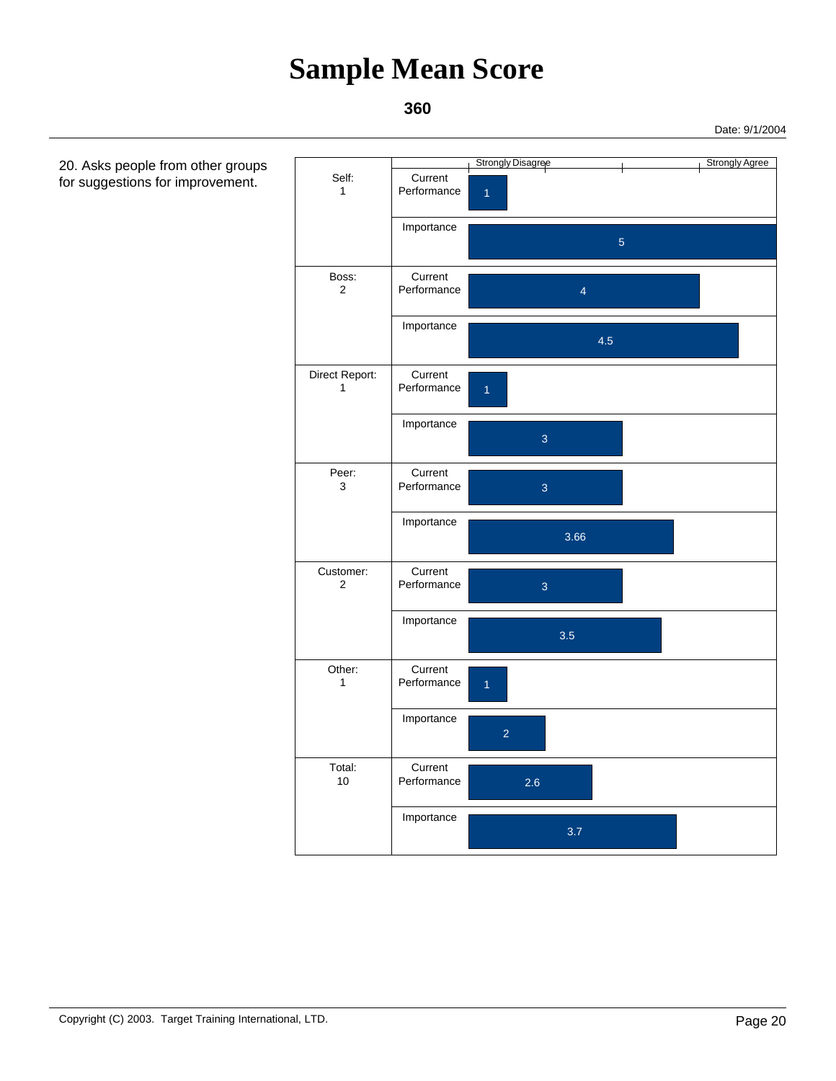

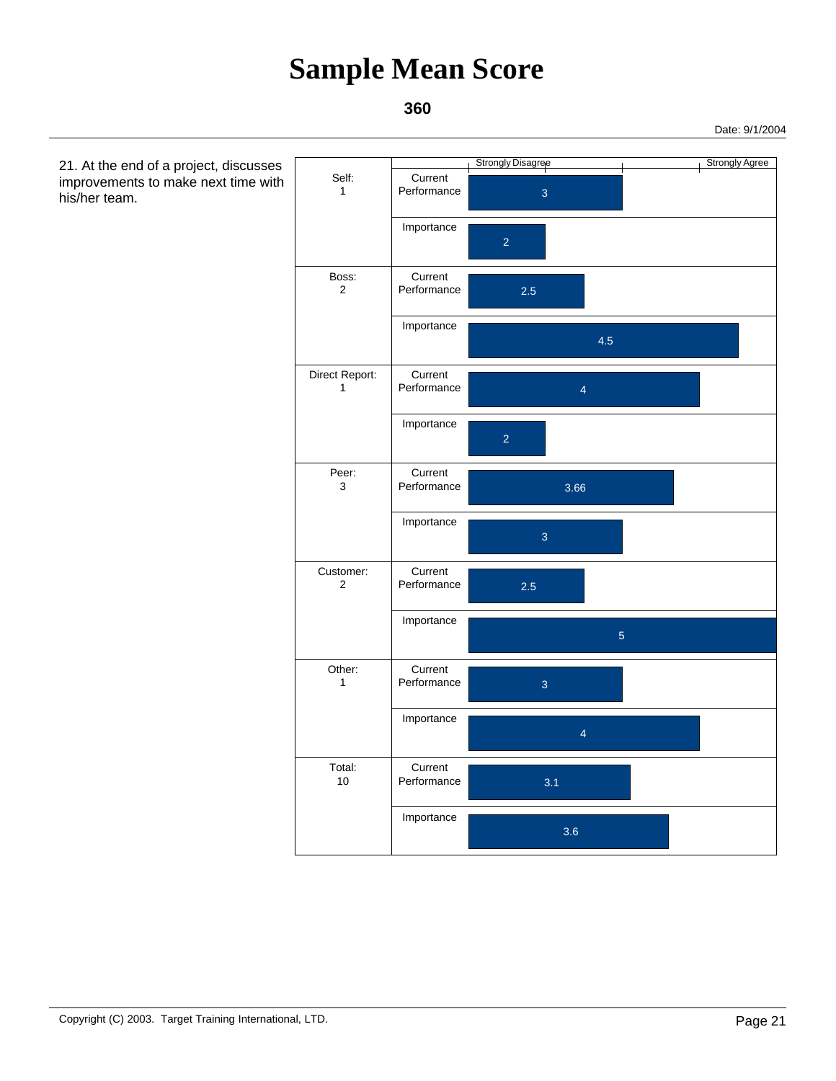### **360**

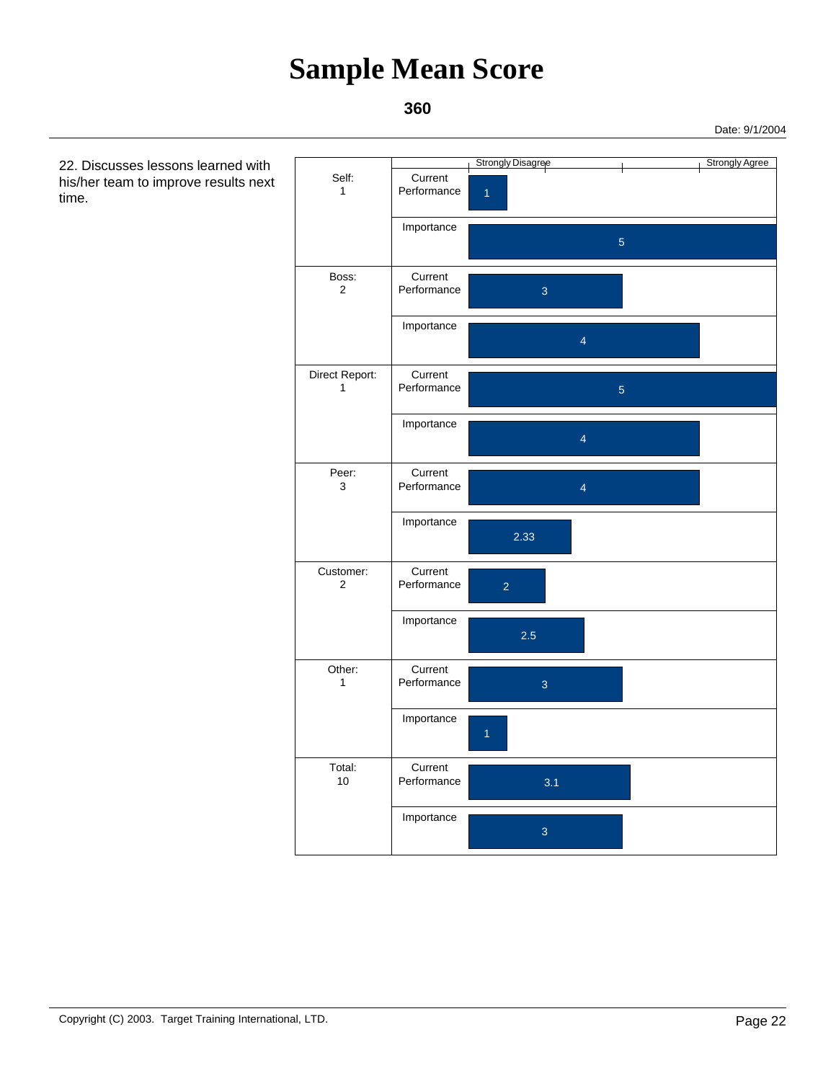### **360**

 22. Discusses lessons learned with his/her team to improve results next time.

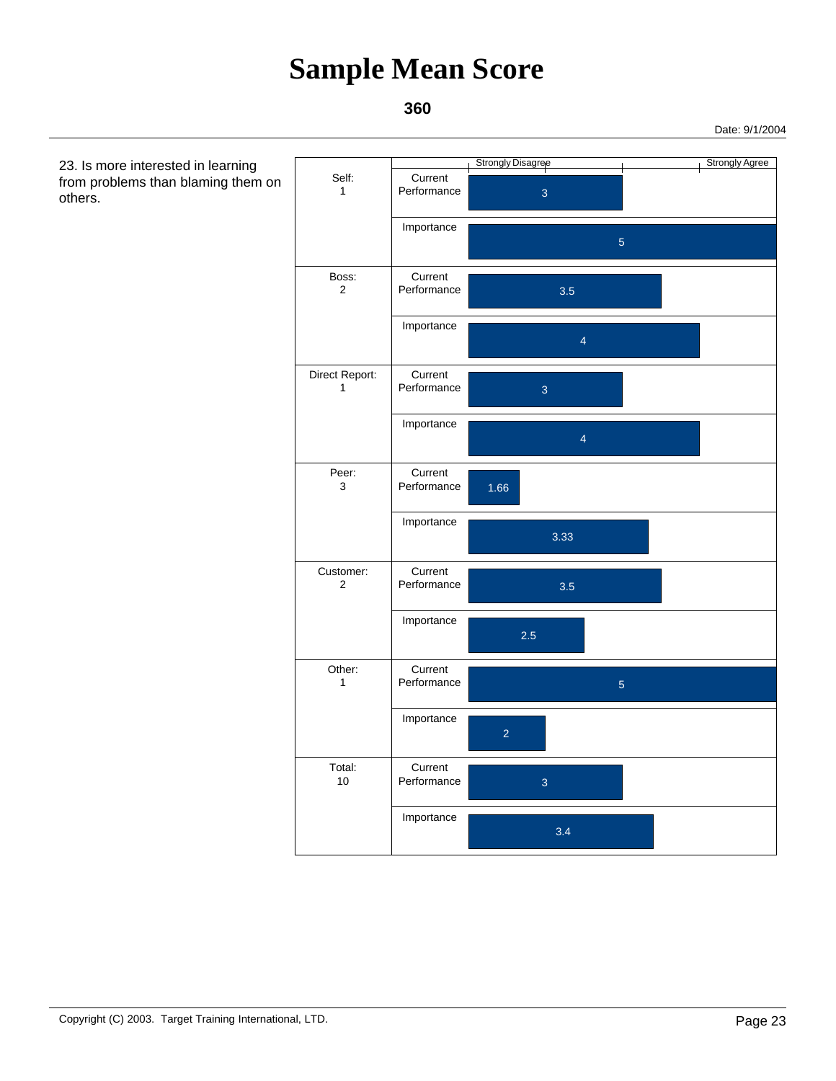### **360**

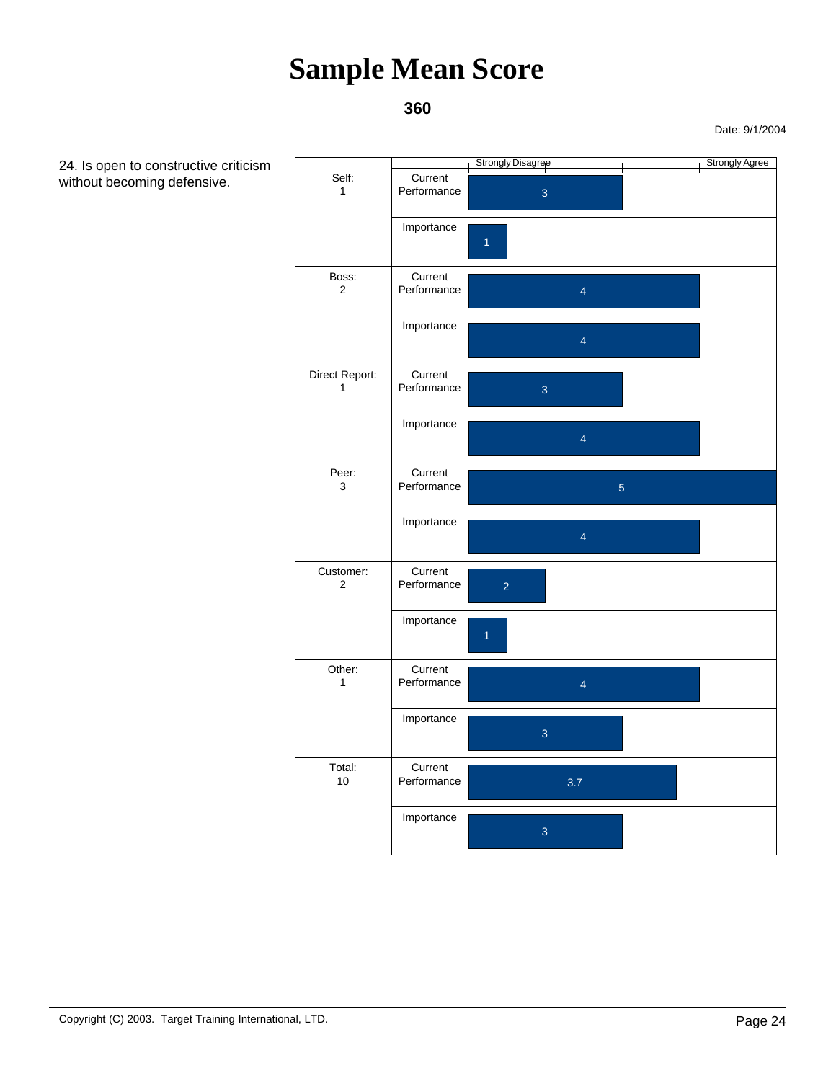### **360**

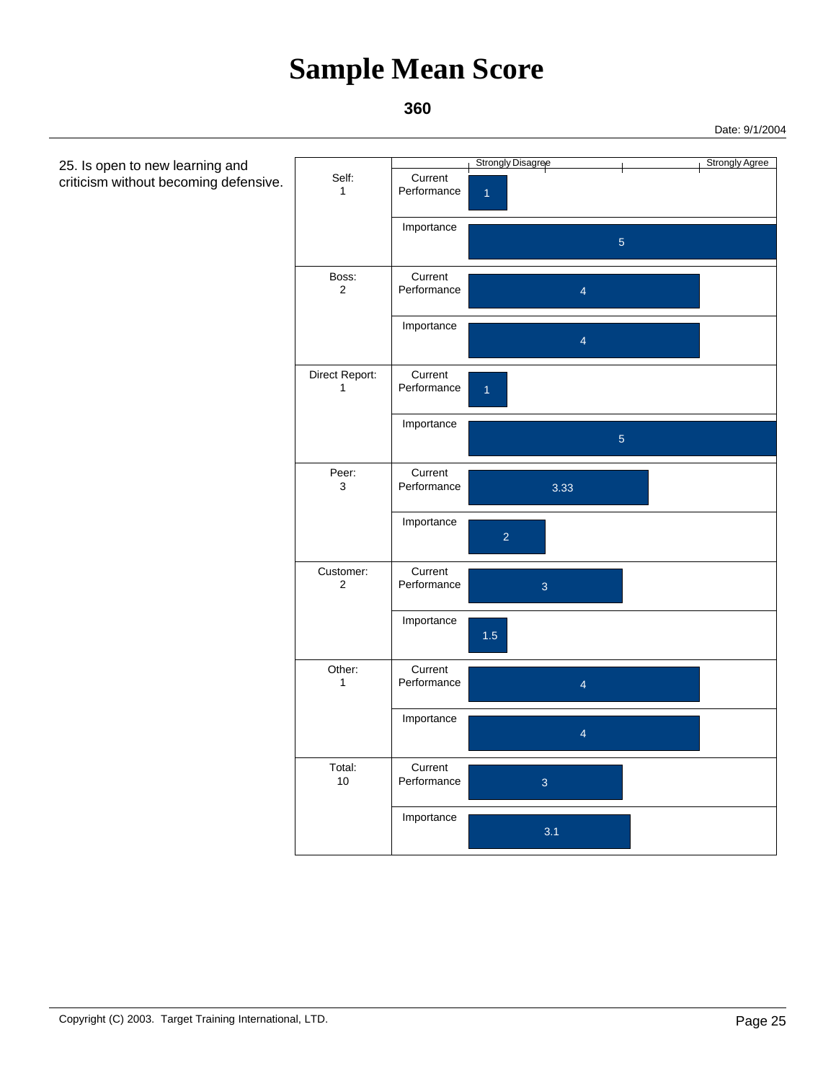

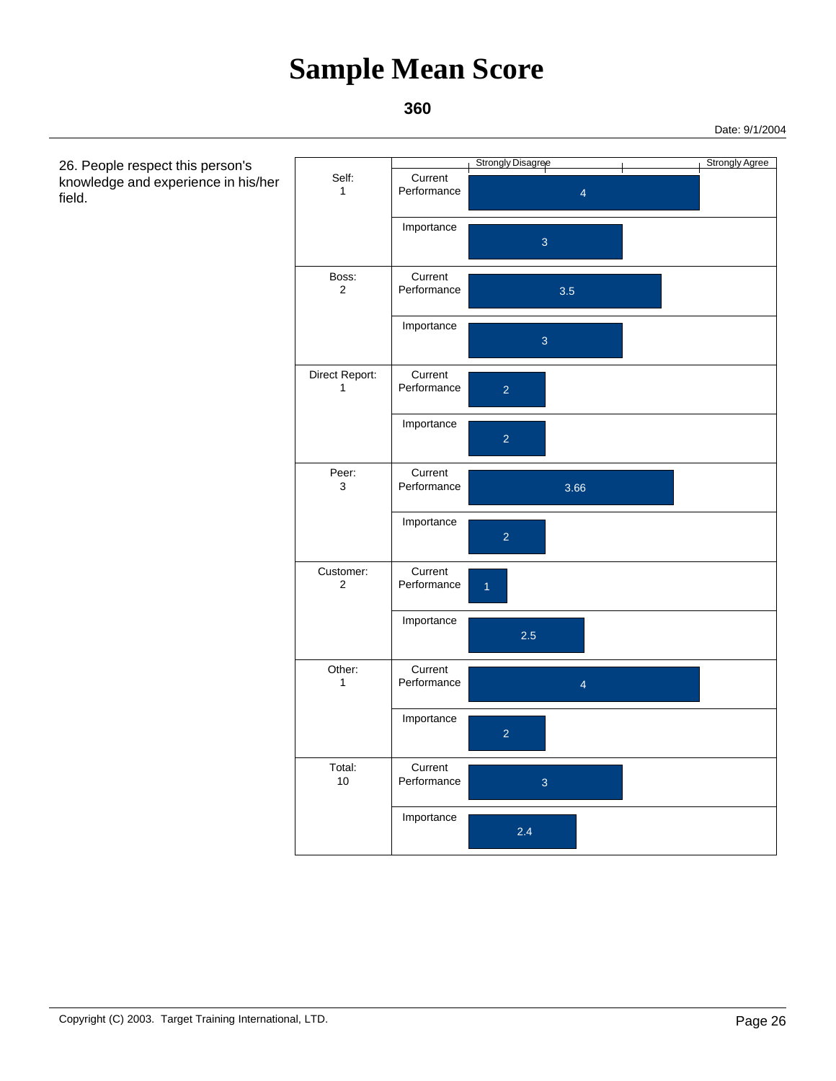### **360**



 26. People respect this person's knowledge and experience in his/her field.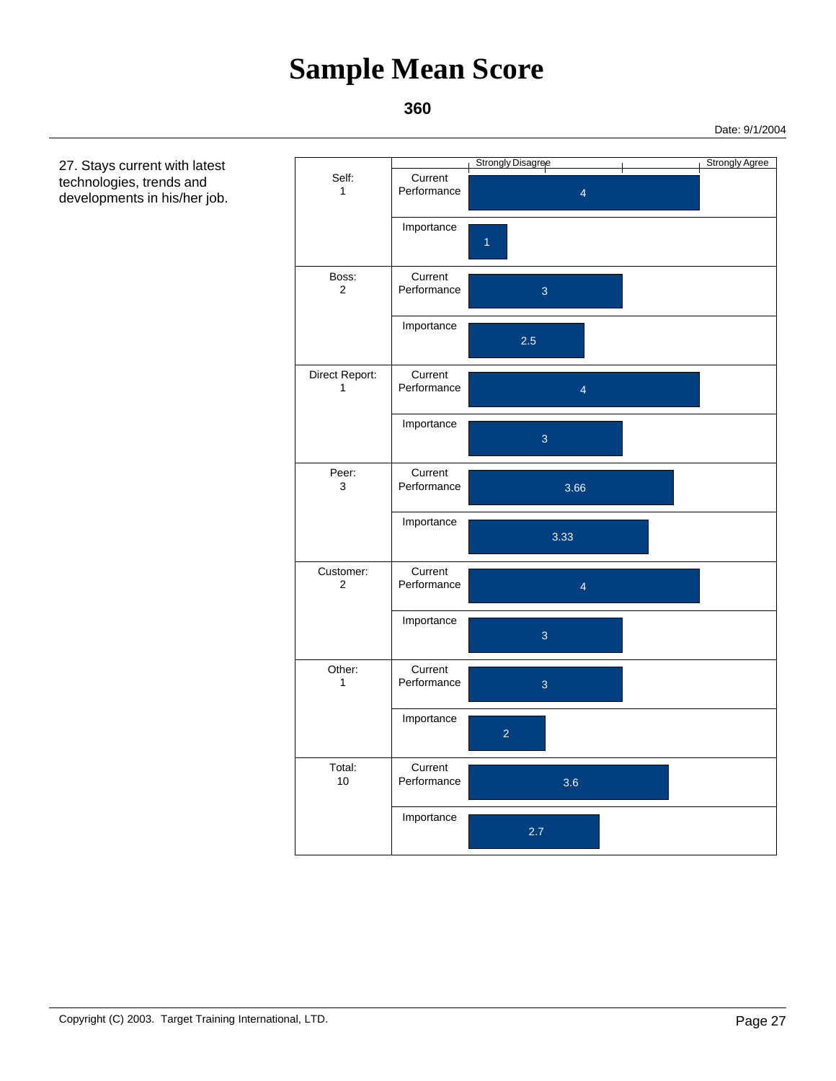### **360**

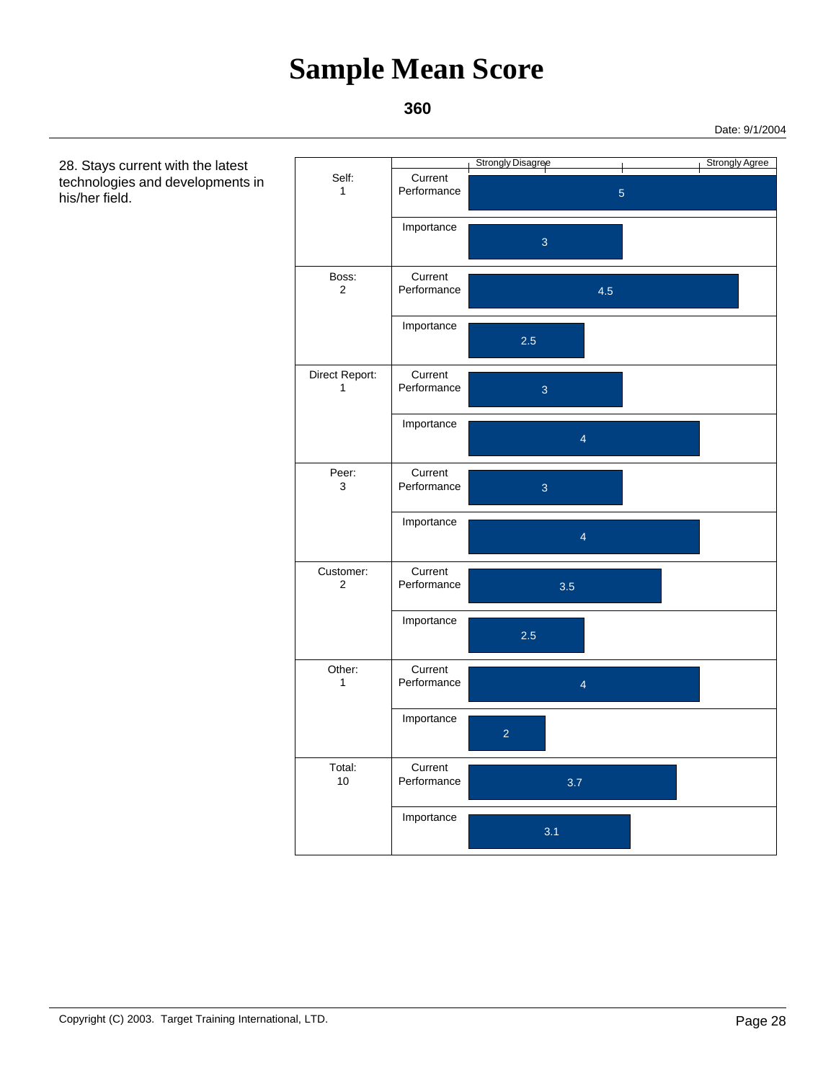### **360**

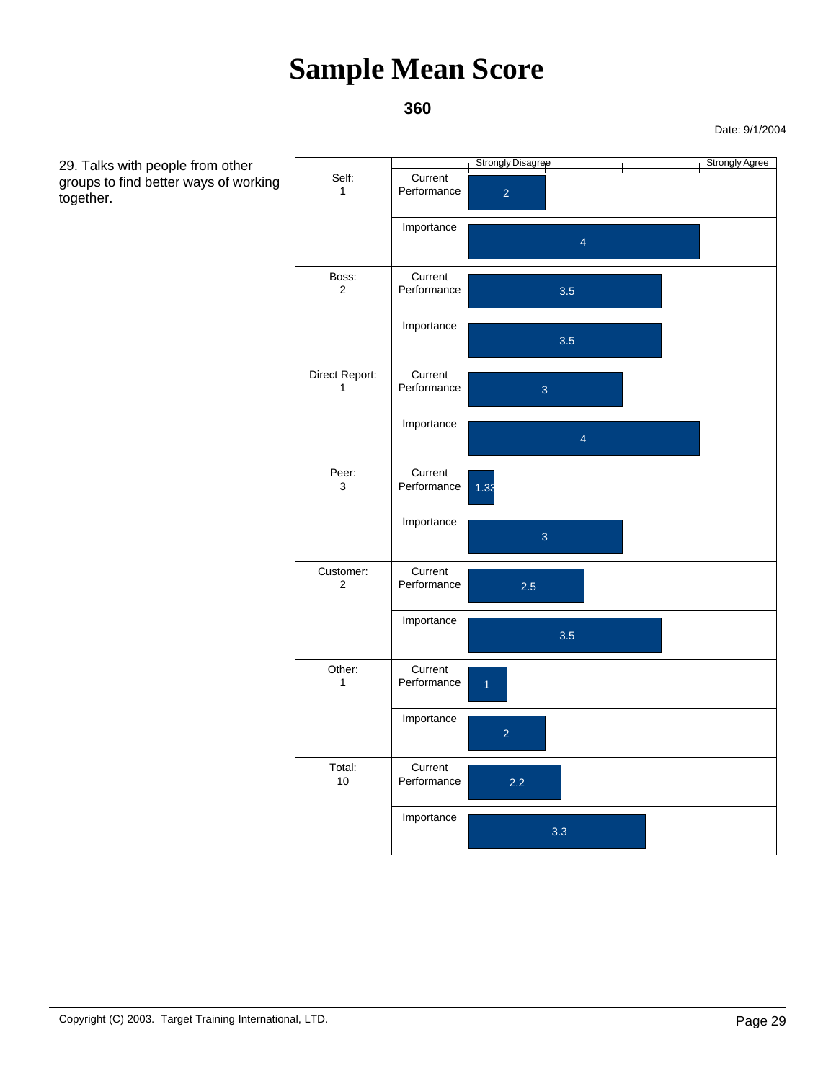### **360**